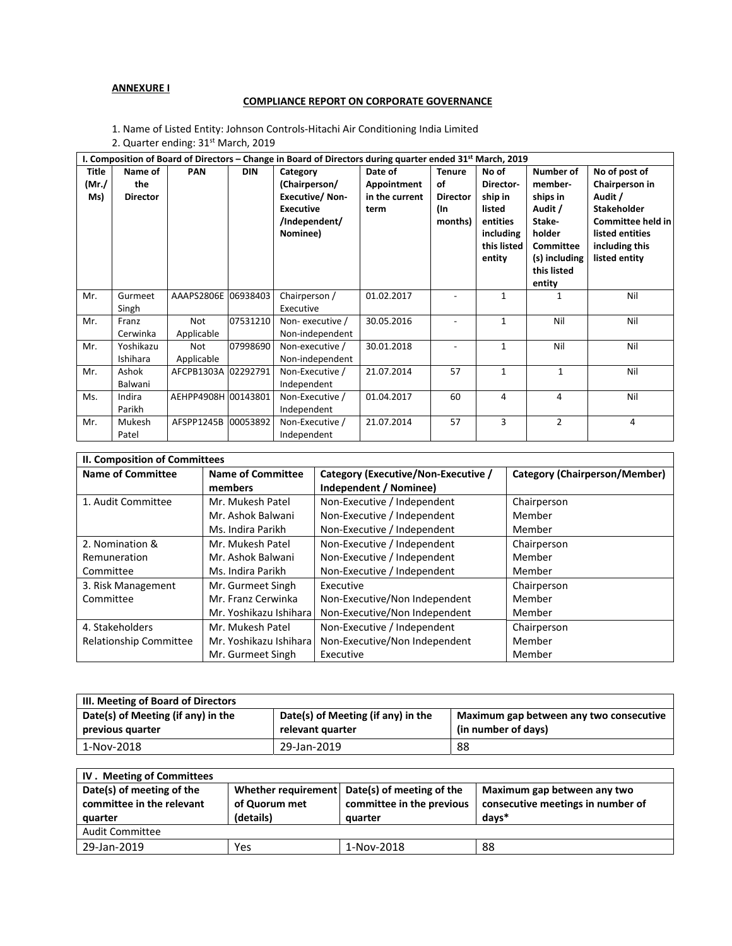# **ANNEXURE I**

## **COMPLIANCE REPORT ON CORPORATE GOVERNANCE**

1. Name of Listed Entity: Johnson Controls‐Hitachi Air Conditioning India Limited

2. Quarter ending: 31st March, 2019

| I. Composition of Board of Directors – Change in Board of Directors during quarter ended 31 <sup>st</sup> March, 2019 |                 |                     |            |                       |                |                 |             |                |                    |
|-----------------------------------------------------------------------------------------------------------------------|-----------------|---------------------|------------|-----------------------|----------------|-----------------|-------------|----------------|--------------------|
| <b>Title</b>                                                                                                          | Name of         | <b>PAN</b>          | <b>DIN</b> | Category              | Date of        | <b>Tenure</b>   | No of       | Number of      | No of post of      |
| (Mr./                                                                                                                 | the             |                     |            | (Chairperson/         | Appointment    | of              | Director-   | member-        | Chairperson in     |
| Ms)                                                                                                                   | <b>Director</b> |                     |            | <b>Executive/Non-</b> | in the current | <b>Director</b> | ship in     | ships in       | Audit /            |
|                                                                                                                       |                 |                     |            | <b>Executive</b>      | term           | (In             | listed      | Audit /        | <b>Stakeholder</b> |
|                                                                                                                       |                 |                     |            | /Independent/         |                | months)         | entities    | Stake-         | Committee held in  |
|                                                                                                                       |                 |                     |            | Nominee)              |                |                 | including   | holder         | listed entities    |
|                                                                                                                       |                 |                     |            |                       |                |                 | this listed | Committee      | including this     |
|                                                                                                                       |                 |                     |            |                       |                |                 | entity      | (s) including  | listed entity      |
|                                                                                                                       |                 |                     |            |                       |                |                 |             | this listed    |                    |
|                                                                                                                       |                 |                     |            |                       |                |                 |             | entity         | Nil                |
| Mr.                                                                                                                   | Gurmeet         | AAAPS2806E          | 06938403   | Chairperson /         | 01.02.2017     |                 | 1           | $\mathbf{1}$   |                    |
|                                                                                                                       | Singh           |                     |            | Executive             |                |                 |             |                |                    |
| Mr.                                                                                                                   | Franz           | Not                 | 07531210   | Non-executive /       | 30.05.2016     |                 | 1           | Nil            | Nil                |
|                                                                                                                       | Cerwinka        | Applicable          |            | Non-independent       |                |                 |             |                |                    |
| Mr.                                                                                                                   | Yoshikazu       | Not                 | 07998690   | Non-executive /       | 30.01.2018     |                 | 1           | Nil            | Nil                |
|                                                                                                                       | Ishihara        | Applicable          |            | Non-independent       |                |                 |             |                |                    |
| Mr.                                                                                                                   | Ashok           | AFCPB1303A 02292791 |            | Non-Executive /       | 21.07.2014     | 57              | 1           | $\mathbf{1}$   | Nil                |
|                                                                                                                       | Balwani         |                     |            | Independent           |                |                 |             |                |                    |
| Ms.                                                                                                                   | Indira          | AEHPP4908H 00143801 |            | Non-Executive /       | 01.04.2017     | 60              | 4           | 4              | Nil                |
|                                                                                                                       | Parikh          |                     |            | Independent           |                |                 |             |                |                    |
| Mr.                                                                                                                   | Mukesh          | AFSPP1245B          | 00053892   | Non-Executive /       | 21.07.2014     | 57              | 3           | $\overline{2}$ | 4                  |
|                                                                                                                       | Patel           |                     |            | Independent           |                |                 |             |                |                    |

| II. Composition of Committees |                         |                                     |                               |  |  |  |
|-------------------------------|-------------------------|-------------------------------------|-------------------------------|--|--|--|
| <b>Name of Committee</b>      | Name of Committee       | Category (Executive/Non-Executive / | Category (Chairperson/Member) |  |  |  |
|                               | members                 | Independent / Nominee)              |                               |  |  |  |
| 1. Audit Committee            | Mr. Mukesh Patel        | Non-Executive / Independent         | Chairperson                   |  |  |  |
|                               | Mr. Ashok Balwani       | Non-Executive / Independent         | Member                        |  |  |  |
|                               | Ms. Indira Parikh       | Non-Executive / Independent         | Member                        |  |  |  |
| 2. Nomination &               | Mr. Mukesh Patel        | Non-Executive / Independent         | Chairperson                   |  |  |  |
| Remuneration                  | Mr. Ashok Balwani       | Non-Executive / Independent         | Member                        |  |  |  |
| Committee                     | Ms. Indira Parikh       | Non-Executive / Independent         | Member                        |  |  |  |
| 3. Risk Management            | Mr. Gurmeet Singh       | Executive                           | Chairperson                   |  |  |  |
| Committee                     | Mr. Franz Cerwinka      | Non-Executive/Non Independent       | Member                        |  |  |  |
|                               | Mr. Yoshikazu Ishiharal | Non-Executive/Non Independent       | Member                        |  |  |  |
| 4. Stakeholders               | Mr. Mukesh Patel        | Non-Executive / Independent         | Chairperson                   |  |  |  |
| <b>Relationship Committee</b> | Mr. Yoshikazu Ishiharal | Non-Executive/Non Independent       | Member                        |  |  |  |
|                               | Mr. Gurmeet Singh       | Executive                           | Member                        |  |  |  |

| III. Meeting of Board of Directors                     |                                                        |                                                                |  |  |  |  |
|--------------------------------------------------------|--------------------------------------------------------|----------------------------------------------------------------|--|--|--|--|
| Date(s) of Meeting (if any) in the<br>previous quarter | Date(s) of Meeting (if any) in the<br>relevant quarter | Maximum gap between any two consecutive<br>(in number of days) |  |  |  |  |
| 1-Nov-2018                                             | 29-Jan-2019                                            | 88                                                             |  |  |  |  |

| IV. Meeting of Committees |                                            |                                               |                                   |  |  |
|---------------------------|--------------------------------------------|-----------------------------------------------|-----------------------------------|--|--|
| Date(s) of meeting of the |                                            | Whether requirement Date(s) of meeting of the | Maximum gap between any two       |  |  |
| committee in the relevant | committee in the previous<br>of Quorum met |                                               | consecutive meetings in number of |  |  |
| quarter                   | (details)                                  | quarter                                       | days*                             |  |  |
| <b>Audit Committee</b>    |                                            |                                               |                                   |  |  |
| 29-Jan-2019               | Yes                                        | 1-Nov-2018                                    | 88                                |  |  |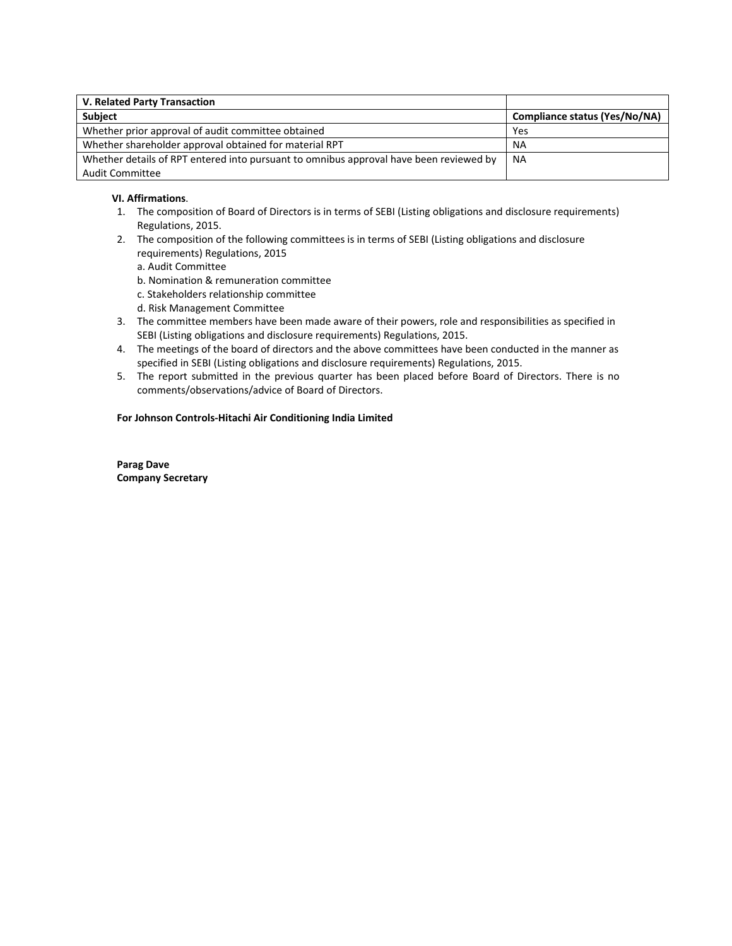| V. Related Party Transaction                                                           |                               |
|----------------------------------------------------------------------------------------|-------------------------------|
| <b>Subject</b>                                                                         | Compliance status (Yes/No/NA) |
| Whether prior approval of audit committee obtained                                     | Yes                           |
| Whether shareholder approval obtained for material RPT                                 | <b>NA</b>                     |
| Whether details of RPT entered into pursuant to omnibus approval have been reviewed by | <b>NA</b>                     |
| Audit Committee                                                                        |                               |

#### **VI. Affirmations**.

- 1. The composition of Board of Directors is in terms of SEBI (Listing obligations and disclosure requirements) Regulations, 2015.
- 2. The composition of the following committees is in terms of SEBI (Listing obligations and disclosure requirements) Regulations, 2015
	- a. Audit Committee
	- b. Nomination & remuneration committee
	- c. Stakeholders relationship committee
	- d. Risk Management Committee
- 3. The committee members have been made aware of their powers, role and responsibilities as specified in SEBI (Listing obligations and disclosure requirements) Regulations, 2015.
- 4. The meetings of the board of directors and the above committees have been conducted in the manner as specified in SEBI (Listing obligations and disclosure requirements) Regulations, 2015.
- 5. The report submitted in the previous quarter has been placed before Board of Directors. There is no comments/observations/advice of Board of Directors.

#### **For Johnson Controls‐Hitachi Air Conditioning India Limited**

**Parag Dave Company Secretary**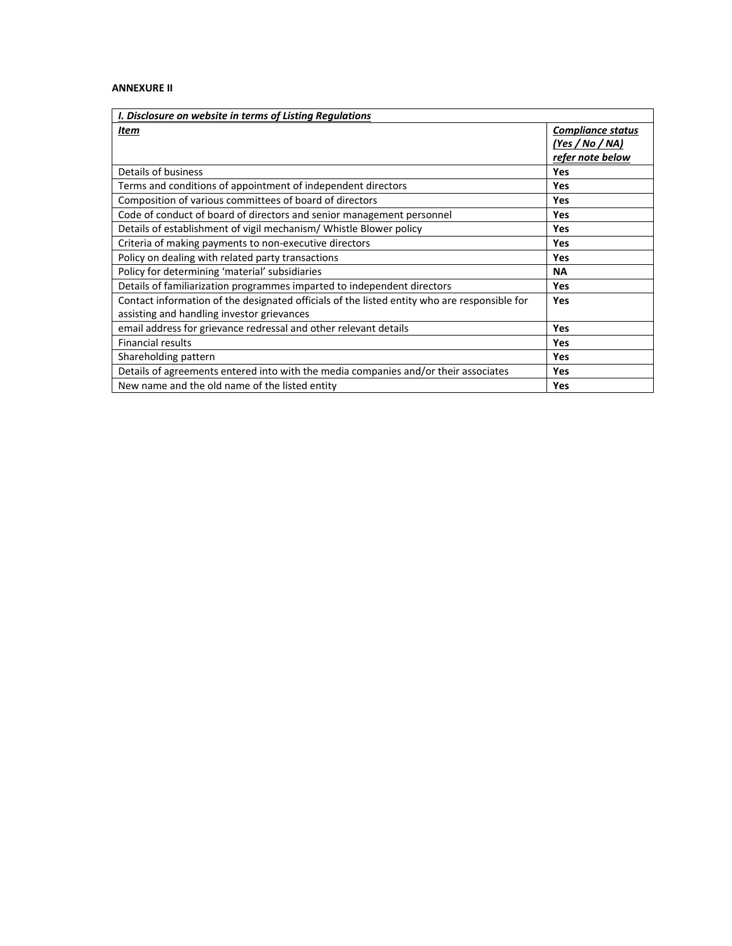# **ANNEXURE II**

| I. Disclosure on website in terms of Listing Regulations                                     |                          |  |  |  |
|----------------------------------------------------------------------------------------------|--------------------------|--|--|--|
| Item                                                                                         | <b>Compliance status</b> |  |  |  |
|                                                                                              | (Yes / No / NA)          |  |  |  |
|                                                                                              | refer note below         |  |  |  |
| Details of business                                                                          | Yes                      |  |  |  |
| Terms and conditions of appointment of independent directors                                 | Yes                      |  |  |  |
| Composition of various committees of board of directors                                      | Yes                      |  |  |  |
| Code of conduct of board of directors and senior management personnel                        | <b>Yes</b>               |  |  |  |
| Details of establishment of vigil mechanism/ Whistle Blower policy                           | <b>Yes</b>               |  |  |  |
| Criteria of making payments to non-executive directors                                       | Yes                      |  |  |  |
| Policy on dealing with related party transactions                                            | Yes                      |  |  |  |
| Policy for determining 'material' subsidiaries                                               | <b>NA</b>                |  |  |  |
| Details of familiarization programmes imparted to independent directors                      | <b>Yes</b>               |  |  |  |
| Contact information of the designated officials of the listed entity who are responsible for | Yes                      |  |  |  |
| assisting and handling investor grievances                                                   |                          |  |  |  |
| email address for grievance redressal and other relevant details                             | Yes                      |  |  |  |
| <b>Financial results</b>                                                                     | Yes                      |  |  |  |
| Shareholding pattern                                                                         | Yes                      |  |  |  |
| Details of agreements entered into with the media companies and/or their associates          | Yes                      |  |  |  |
| New name and the old name of the listed entity                                               | Yes                      |  |  |  |